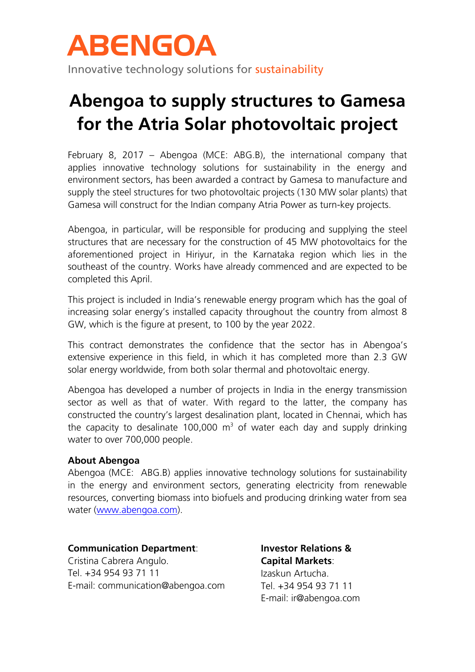

Innovative technology solutions for sustainability

## **Abengoa to supply structures to Gamesa for the Atria Solar photovoltaic project**

February 8, 2017 – Abengoa (MCE: ABG.B), the international company that applies innovative technology solutions for sustainability in the energy and environment sectors, has been awarded a contract by Gamesa to manufacture and supply the steel structures for two photovoltaic projects (130 MW solar plants) that Gamesa will construct for the Indian company Atria Power as turn-key projects.

Abengoa, in particular, will be responsible for producing and supplying the steel structures that are necessary for the construction of 45 MW photovoltaics for the aforementioned project in Hiriyur, in the Karnataka region which lies in the southeast of the country. Works have already commenced and are expected to be completed this April.

This project is included in India's renewable energy program which has the goal of increasing solar energy's installed capacity throughout the country from almost 8 GW, which is the figure at present, to 100 by the year 2022.

This contract demonstrates the confidence that the sector has in Abengoa's extensive experience in this field, in which it has completed more than 2.3 GW solar energy worldwide, from both solar thermal and photovoltaic energy.

Abengoa has developed a number of projects in India in the energy transmission sector as well as that of water. With regard to the latter, the company has constructed the country's largest desalination plant, located in Chennai, which has the capacity to desalinate 100,000  $m<sup>3</sup>$  of water each day and supply drinking water to over 700,000 people.

## **About Abengoa**

Abengoa (MCE: ABG.B) applies innovative technology solutions for sustainability in the energy and environment sectors, generating electricity from renewable resources, converting biomass into biofuels and producing drinking water from sea water [\(www.abengoa.com\)](http://www.abengoa.com/).

## **Communication Department**:

Cristina Cabrera Angulo. Tel. +34 954 93 71 11 E-mail: communication@abengoa.com **Investor Relations & Capital Markets**: Izaskun Artucha. Tel. +34 954 93 71 11 E-mail: ir@abengoa.com